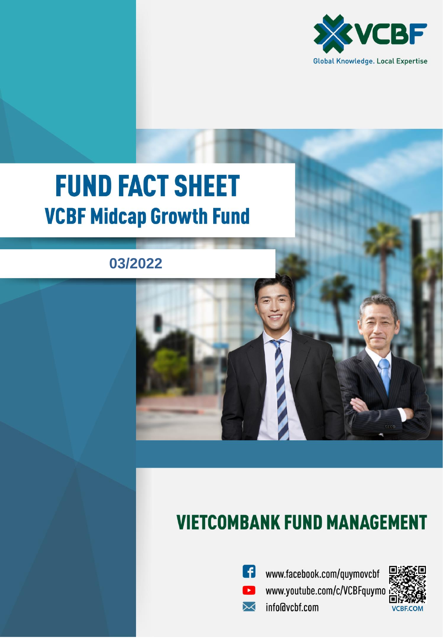

# **FUND FACT SHEET VCBF Midcap Growth Fund**

## **03/2022**

## **VIETCOMBANK FUND MANAGEMENT**



⊠

www.facebook.com/quymovcbf www.youtube.com/c/VCBFquymo info@vcbf.com

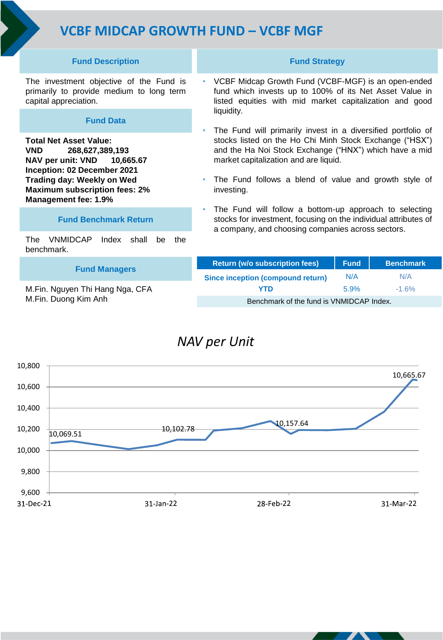## **VCBF MIDCAP GROWTH FUND – VCBF MGF**

#### **Fund Description**

The investment objective of the Fund is primarily to provide medium to long term capital appreciation.

#### **Fund Data**

**Total Net Asset Value: VND 268,627,389,193 NAV per unit: VND 10,665.67 Inception: 02 December 2021 Trading day: Weekly on Wed Maximum subscription fees: 2% Management fee: 1.9%** 

#### **Fund Benchmark Return**

The VNMIDCAP Index shall be the benchmark.

#### **Fund Managers**

M.Fin. Nguyen Thi Hang Nga, CFA M.Fin. Duong Kim Anh

#### **Fund Strategy**

- VCBF Midcap Growth Fund (VCBF-MGF) is an open-ended fund which invests up to 100% of its Net Asset Value in listed equities with mid market capitalization and good liquidity.
- The Fund will primarily invest in a diversified portfolio of stocks listed on the Ho Chi Minh Stock Exchange ("HSX") and the Ha Noi Stock Exchange ("HNX") which have a mid market capitalization and are liquid.
- The Fund follows a blend of value and growth style of investing.
- The Fund will follow a bottom-up approach to selecting stocks for investment, focusing on the individual attributes of a company, and choosing companies across sectors.

| <b>Return (w/o subscription fees)</b>    | <b>Fund</b> | <b>Benchmark</b> |
|------------------------------------------|-------------|------------------|
| Since inception (compound return)        | N/A         | N/A              |
| YTD                                      | 5.9%        | $-1.6%$          |
| Benchmark of the fund is VNMIDCAP Index. |             |                  |

### *NAV per Unit*